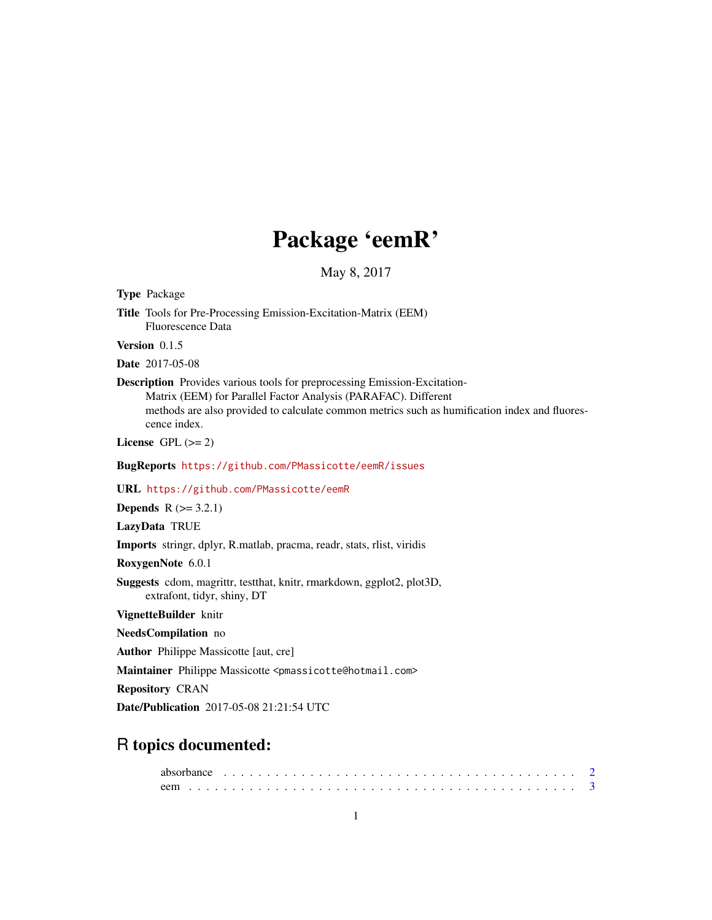# Package 'eemR'

May 8, 2017

<span id="page-0-0"></span>

| <b>Type Package</b>                                                                                                                                                                                                                                                 |
|---------------------------------------------------------------------------------------------------------------------------------------------------------------------------------------------------------------------------------------------------------------------|
| Title Tools for Pre-Processing Emission-Excitation-Matrix (EEM)<br><b>Fluorescence Data</b>                                                                                                                                                                         |
| Version 0.1.5                                                                                                                                                                                                                                                       |
| Date 2017-05-08                                                                                                                                                                                                                                                     |
| <b>Description</b> Provides various tools for preprocessing Emission-Excitation-<br>Matrix (EEM) for Parallel Factor Analysis (PARAFAC). Different<br>methods are also provided to calculate common metrics such as humification index and fluores-<br>cence index. |
| License GPL $(>= 2)$                                                                                                                                                                                                                                                |
| BugReports https://github.com/PMassicotte/eemR/issues                                                                                                                                                                                                               |
| URL https://github.com/PMassicotte/eemR                                                                                                                                                                                                                             |
| <b>Depends</b> $R (= 3.2.1)$                                                                                                                                                                                                                                        |
| LazyData TRUE                                                                                                                                                                                                                                                       |
| <b>Imports</b> stringr, dplyr, R.matlab, pracma, readr, stats, rlist, viridis                                                                                                                                                                                       |
| RoxygenNote 6.0.1                                                                                                                                                                                                                                                   |
| Suggests cdom, magrittr, testthat, knitr, rmarkdown, ggplot2, plot3D,<br>extrafont, tidyr, shiny, DT                                                                                                                                                                |
| VignetteBuilder knitr                                                                                                                                                                                                                                               |
| NeedsCompilation no                                                                                                                                                                                                                                                 |
| <b>Author</b> Philippe Massicotte [aut, cre]                                                                                                                                                                                                                        |
| Maintainer Philippe Massicotte <pmassicotte@hotmail.com></pmassicotte@hotmail.com>                                                                                                                                                                                  |
| <b>Repository CRAN</b>                                                                                                                                                                                                                                              |
| <b>Date/Publication</b> 2017-05-08 21:21:54 UTC                                                                                                                                                                                                                     |
| <b>R</b> topics documented:                                                                                                                                                                                                                                         |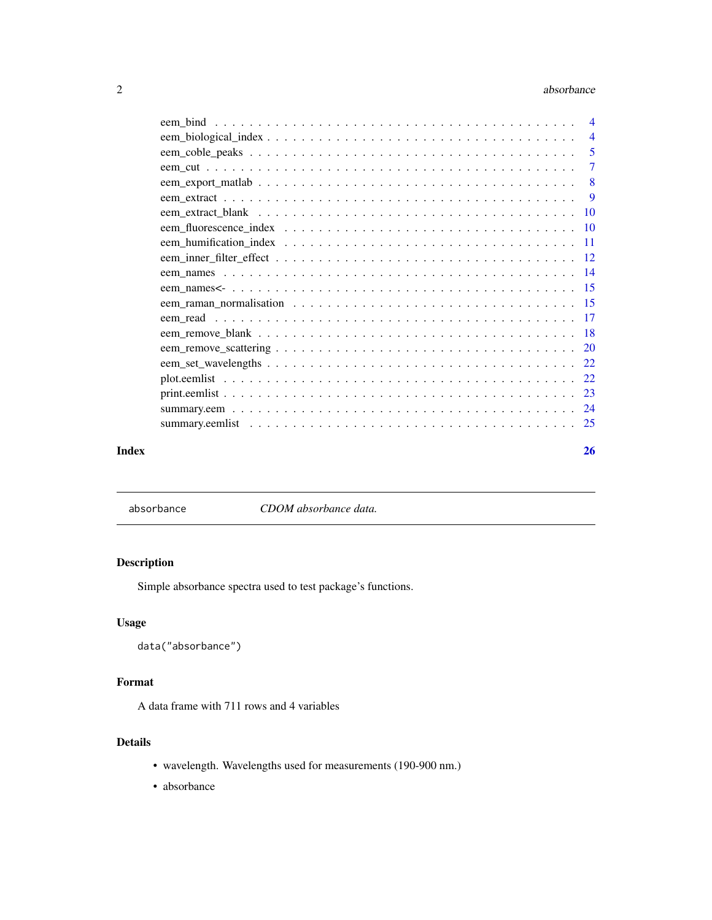#### <span id="page-1-0"></span>2 absorbance and  $\alpha$  absorbance and  $\alpha$  absorbance

| $\overline{4}$ |
|----------------|
| $\overline{4}$ |
| 5              |
| $\overline{7}$ |
| 8              |
| -9             |
|                |
|                |
|                |
|                |
|                |
|                |
|                |
|                |
|                |
|                |
|                |
|                |
|                |
|                |
|                |
|                |

## **Index** [26](#page-25-0)

absorbance *CDOM absorbance data.*

# Description

Simple absorbance spectra used to test package's functions.

# Usage

```
data("absorbance")
```
# Format

A data frame with 711 rows and 4 variables

# Details

- wavelength. Wavelengths used for measurements (190-900 nm.)
- absorbance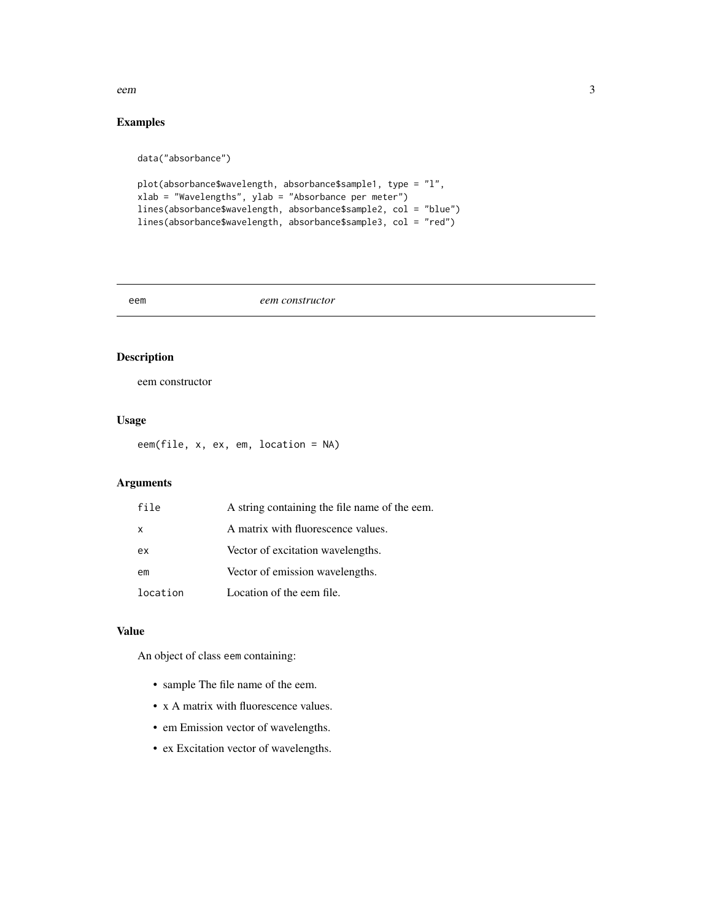#### <span id="page-2-0"></span>eem 3

# Examples

data("absorbance")

```
plot(absorbance$wavelength, absorbance$sample1, type = "l",
xlab = "Wavelengths", ylab = "Absorbance per meter")
lines(absorbance$wavelength, absorbance$sample2, col = "blue")
lines(absorbance$wavelength, absorbance$sample3, col = "red")
```
#### eem *eem constructor*

# Description

eem constructor

# Usage

eem(file, x, ex, em, location = NA)

# Arguments

| file         | A string containing the file name of the eem. |
|--------------|-----------------------------------------------|
| $\mathsf{x}$ | A matrix with fluorescence values.            |
| ex           | Vector of excitation wavelengths.             |
| em           | Vector of emission wavelengths.               |
| location     | Location of the eem file.                     |

## Value

An object of class eem containing:

- sample The file name of the eem.
- x A matrix with fluorescence values.
- em Emission vector of wavelengths.
- ex Excitation vector of wavelengths.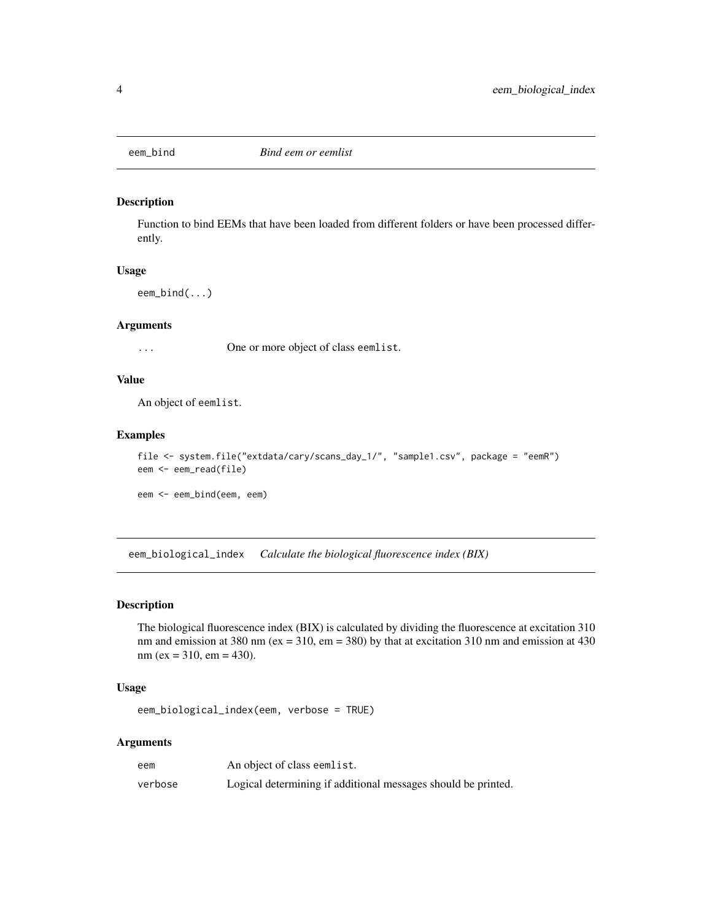<span id="page-3-0"></span>

## Description

Function to bind EEMs that have been loaded from different folders or have been processed differently.

#### Usage

```
eem_bind(...)
```
# Arguments

... One or more object of class eemlist.

## Value

An object of eemlist.

## Examples

```
file <- system.file("extdata/cary/scans_day_1/", "sample1.csv", package = "eemR")
eem <- eem_read(file)
```
eem <- eem\_bind(eem, eem)

eem\_biological\_index *Calculate the biological fluorescence index (BIX)*

## Description

The biological fluorescence index (BIX) is calculated by dividing the fluorescence at excitation 310 nm and emission at 380 nm ( $ex = 310$ ,  $em = 380$ ) by that at excitation 310 nm and emission at 430  $nm (ex = 310, em = 430).$ 

## Usage

eem\_biological\_index(eem, verbose = TRUE)

## Arguments

| eem     | An object of class eemlist.                                   |
|---------|---------------------------------------------------------------|
| verbose | Logical determining if additional messages should be printed. |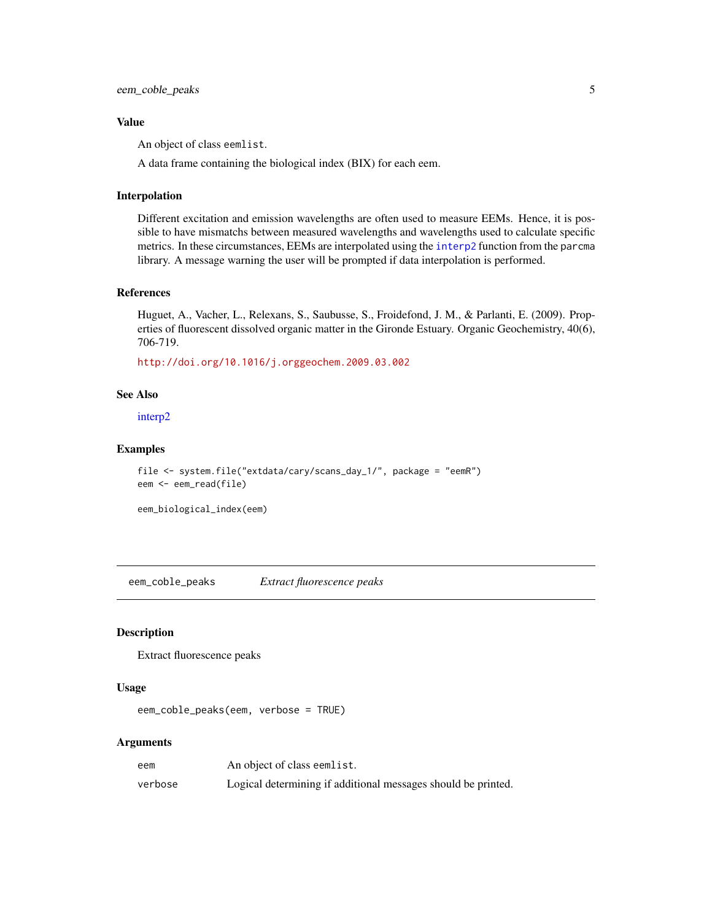## <span id="page-4-0"></span>Value

An object of class eemlist.

A data frame containing the biological index (BIX) for each eem.

#### Interpolation

Different excitation and emission wavelengths are often used to measure EEMs. Hence, it is possible to have mismatchs between measured wavelengths and wavelengths used to calculate specific metrics. In these circumstances, EEMs are interpolated using the [interp2](#page-0-0) function from the parcma library. A message warning the user will be prompted if data interpolation is performed.

#### References

Huguet, A., Vacher, L., Relexans, S., Saubusse, S., Froidefond, J. M., & Parlanti, E. (2009). Properties of fluorescent dissolved organic matter in the Gironde Estuary. Organic Geochemistry, 40(6), 706-719.

<http://doi.org/10.1016/j.orggeochem.2009.03.002>

#### See Also

[interp2](#page-0-0)

# Examples

```
file <- system.file("extdata/cary/scans_day_1/", package = "eemR")
eem <- eem_read(file)
```
eem\_biological\_index(eem)

eem\_coble\_peaks *Extract fluorescence peaks*

# Description

Extract fluorescence peaks

#### Usage

```
eem_coble_peaks(eem, verbose = TRUE)
```
## **Arguments**

| eem     | An object of class eemlist.                                   |
|---------|---------------------------------------------------------------|
| verbose | Logical determining if additional messages should be printed. |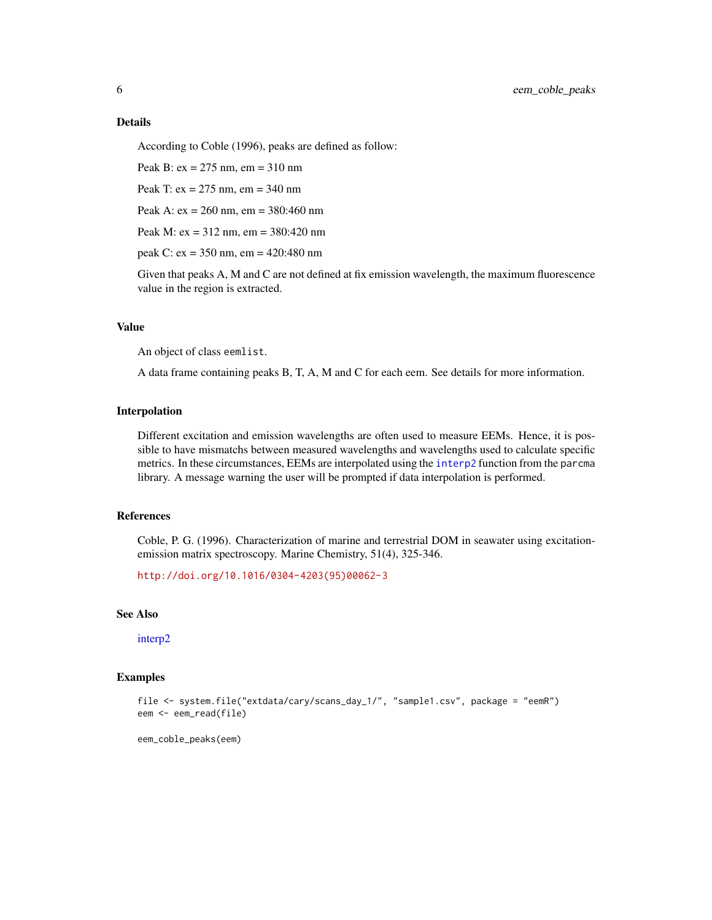## <span id="page-5-0"></span>Details

According to Coble (1996), peaks are defined as follow:

Peak B: ex = 275 nm, em = 310 nm

Peak T: ex = 275 nm, em = 340 nm

Peak A: ex = 260 nm, em = 380:460 nm

Peak M: ex = 312 nm, em = 380:420 nm

peak C: ex = 350 nm, em = 420:480 nm

Given that peaks A, M and C are not defined at fix emission wavelength, the maximum fluorescence value in the region is extracted.

## Value

An object of class eemlist.

A data frame containing peaks B, T, A, M and C for each eem. See details for more information.

## Interpolation

Different excitation and emission wavelengths are often used to measure EEMs. Hence, it is possible to have mismatchs between measured wavelengths and wavelengths used to calculate specific metrics. In these circumstances, EEMs are interpolated using the [interp2](#page-0-0) function from the parcma library. A message warning the user will be prompted if data interpolation is performed.

# References

Coble, P. G. (1996). Characterization of marine and terrestrial DOM in seawater using excitationemission matrix spectroscopy. Marine Chemistry, 51(4), 325-346.

[http://doi.org/10.1016/0304-4203\(95\)00062-3](http://doi.org/10.1016/0304-4203(95)00062-3)

# See Also

[interp2](#page-0-0)

## Examples

```
file <- system.file("extdata/cary/scans_day_1/", "sample1.csv", package = "eemR")
eem <- eem_read(file)
```
eem\_coble\_peaks(eem)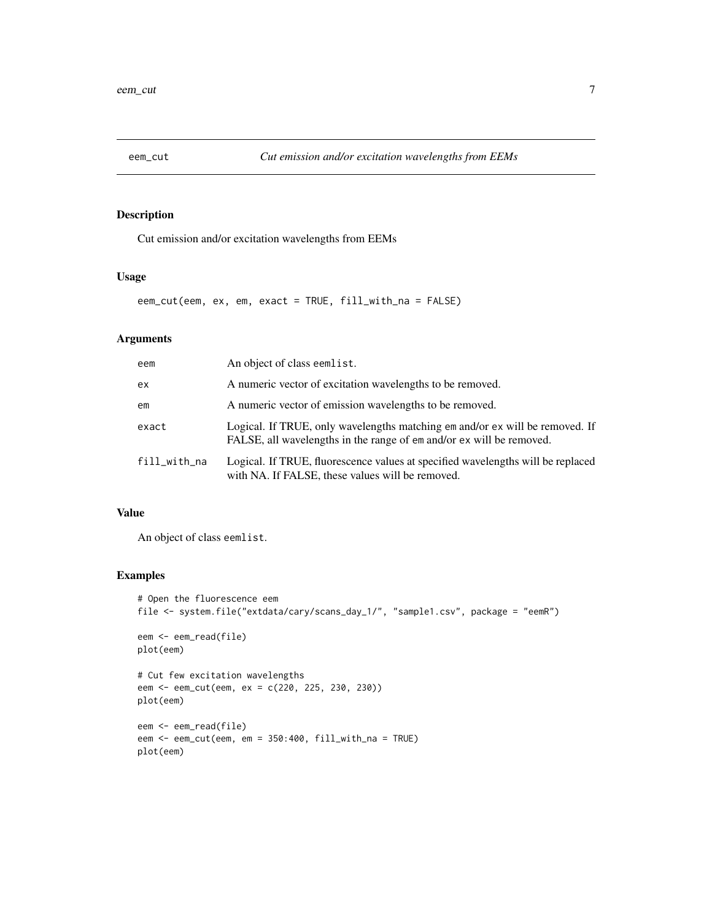<span id="page-6-0"></span>

# Description

Cut emission and/or excitation wavelengths from EEMs

## Usage

eem\_cut(eem, ex, em, exact = TRUE, fill\_with\_na = FALSE)

# Arguments

| eem          | An object of class eemlist.                                                                                                                          |
|--------------|------------------------------------------------------------------------------------------------------------------------------------------------------|
| ex           | A numeric vector of excitation wavelengths to be removed.                                                                                            |
| em           | A numeric vector of emission wavelengths to be removed.                                                                                              |
| exact        | Logical. If TRUE, only wavelengths matching em and/or ex will be removed. If<br>FALSE, all wavelengths in the range of em and/or ex will be removed. |
| fill_with_na | Logical. If TRUE, fluorescence values at specified wavelengths will be replaced<br>with NA. If FALSE, these values will be removed.                  |

# Value

An object of class eemlist.

# Examples

```
# Open the fluorescence eem
file <- system.file("extdata/cary/scans_day_1/", "sample1.csv", package = "eemR")
eem <- eem_read(file)
plot(eem)
# Cut few excitation wavelengths
eem <- eem_cut(eem, ex = c(220, 225, 230, 230))
plot(eem)
eem <- eem_read(file)
eem <- eem_cut(eem, em = 350:400, fill_with_na = TRUE)
plot(eem)
```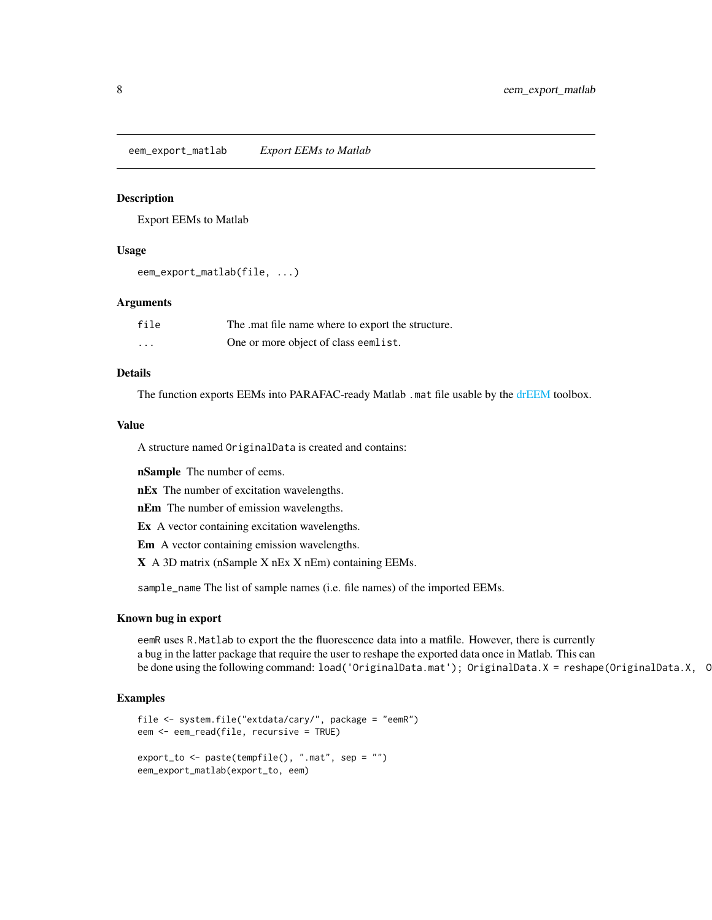<span id="page-7-0"></span>eem\_export\_matlab *Export EEMs to Matlab*

## Description

Export EEMs to Matlab

## Usage

eem\_export\_matlab(file, ...)

#### Arguments

| file     | The mat file name where to export the structure. |
|----------|--------------------------------------------------|
| $\cdots$ | One or more object of class eemlist.             |

## Details

The function exports EEMs into PARAFAC-ready Matlab .mat file usable by the [drEEM](#page-0-0) toolbox.

## Value

A structure named OriginalData is created and contains:

nSample The number of eems.

nEx The number of excitation wavelengths.

nEm The number of emission wavelengths.

Ex A vector containing excitation wavelengths.

Em A vector containing emission wavelengths.

X A 3D matrix (nSample X nEx X nEm) containing EEMs.

sample\_name The list of sample names (i.e. file names) of the imported EEMs.

#### Known bug in export

eemR uses R.Matlab to export the the fluorescence data into a matfile. However, there is currently a bug in the latter package that require the user to reshape the exported data once in Matlab. This can be done using the following command: load('OriginalData.mat'); OriginalData.X = reshape(OriginalData.X, C

## Examples

```
file <- system.file("extdata/cary/", package = "eemR")
eem <- eem_read(file, recursive = TRUE)
export_to <- paste(tempfile(), ".mat", sep = "")
eem_export_matlab(export_to, eem)
```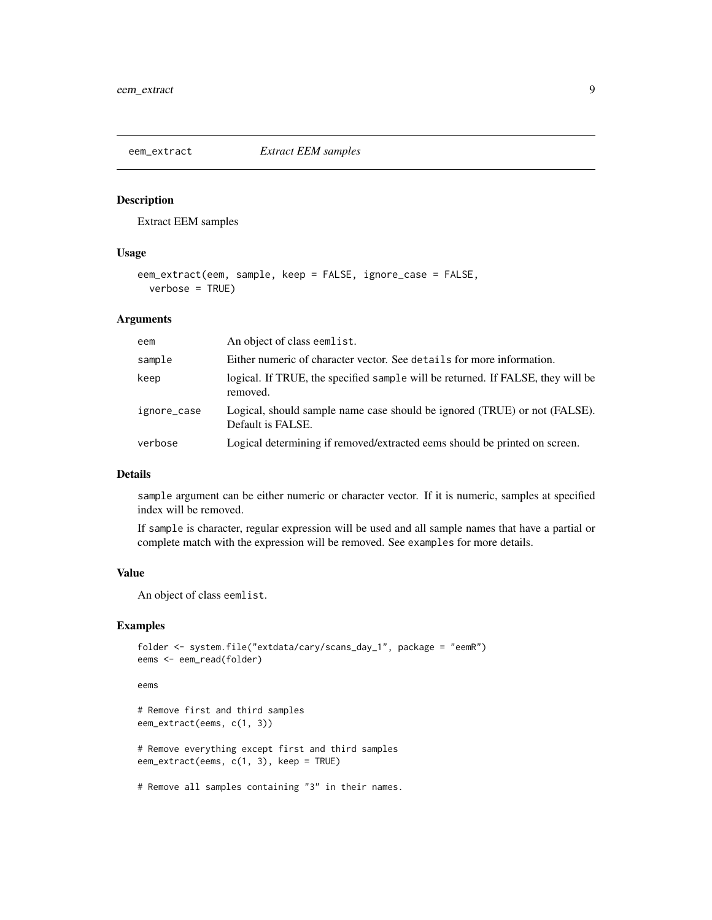<span id="page-8-0"></span>

# Description

Extract EEM samples

## Usage

```
eem_extract(eem, sample, keep = FALSE, ignore_case = FALSE,
 verbose = TRUE)
```
# Arguments

| eem         | An object of class eemlist.                                                                    |
|-------------|------------------------------------------------------------------------------------------------|
| sample      | Either numeric of character vector. See details for more information.                          |
| keep        | logical. If TRUE, the specified sample will be returned. If FALSE, they will be<br>removed.    |
| ignore_case | Logical, should sample name case should be ignored (TRUE) or not (FALSE).<br>Default is FALSE. |
| verbose     | Logical determining if removed/extracted eems should be printed on screen.                     |

# Details

sample argument can be either numeric or character vector. If it is numeric, samples at specified index will be removed.

If sample is character, regular expression will be used and all sample names that have a partial or complete match with the expression will be removed. See examples for more details.

## Value

An object of class eemlist.

# Examples

```
folder <- system.file("extdata/cary/scans_day_1", package = "eemR")
eems <- eem_read(folder)
```
#### eems

```
# Remove first and third samples
eem_extract(eems, c(1, 3))
```
# Remove everything except first and third samples eem\_extract(eems, c(1, 3), keep = TRUE)

# Remove all samples containing "3" in their names.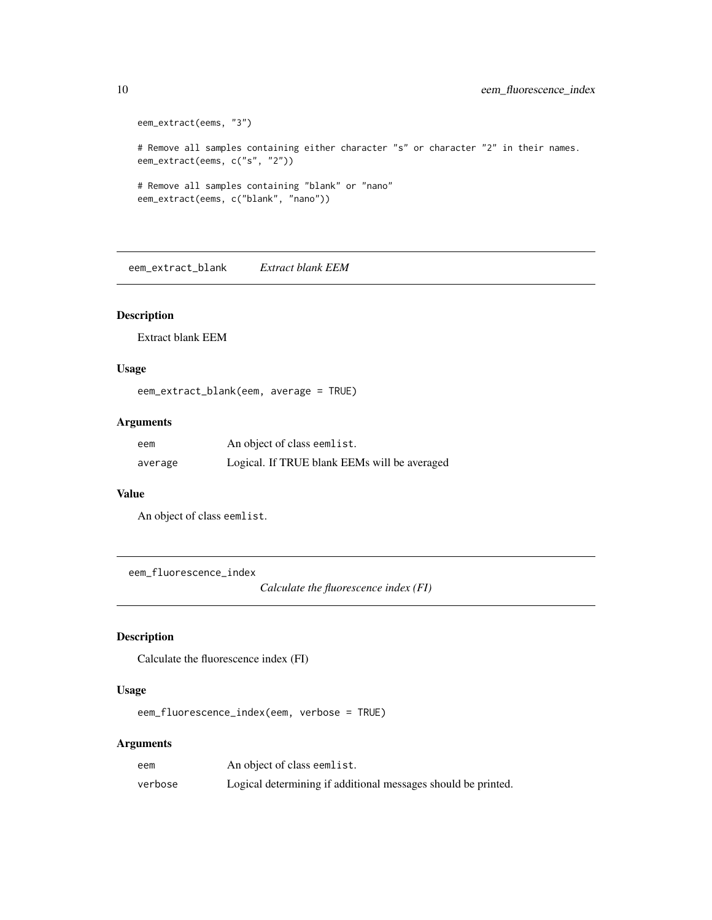```
eem_extract(eems, "3")
# Remove all samples containing either character "s" or character "2" in their names.
eem_extract(eems, c("s", "2"))
# Remove all samples containing "blank" or "nano"
eem_extract(eems, c("blank", "nano"))
```
eem\_extract\_blank *Extract blank EEM*

## Description

Extract blank EEM

## Usage

```
eem_extract_blank(eem, average = TRUE)
```
# Arguments

| eem     | An object of class eemlist.                  |
|---------|----------------------------------------------|
| average | Logical. If TRUE blank EEMs will be averaged |

## Value

An object of class eemlist.

eem\_fluorescence\_index

*Calculate the fluorescence index (FI)*

# Description

Calculate the fluorescence index (FI)

# Usage

eem\_fluorescence\_index(eem, verbose = TRUE)

## Arguments

| eem     | An object of class eemlist.                                   |
|---------|---------------------------------------------------------------|
| verbose | Logical determining if additional messages should be printed. |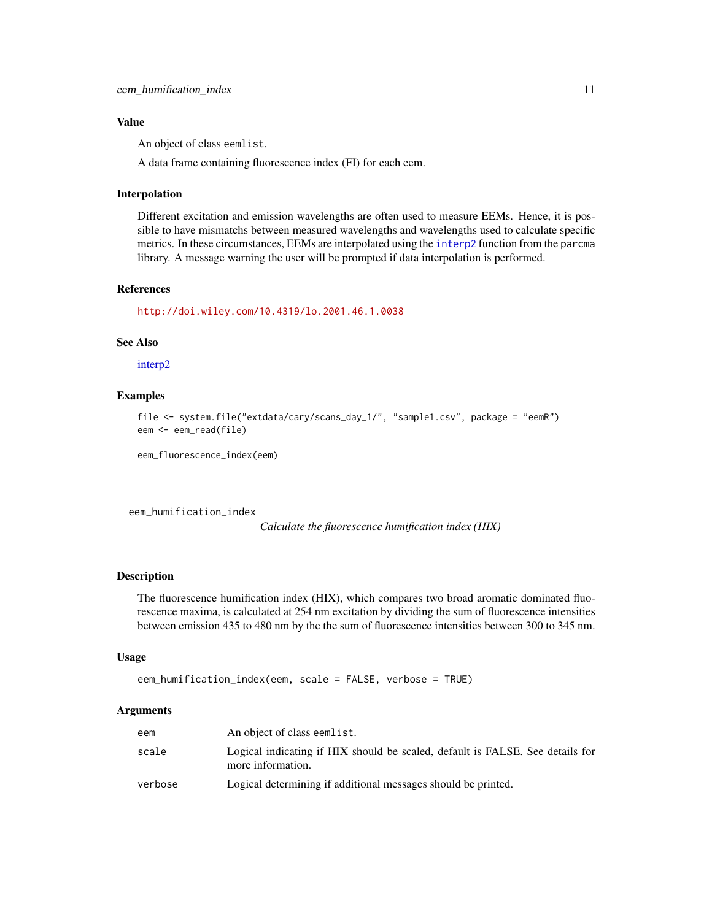## <span id="page-10-0"></span>Value

An object of class eemlist.

A data frame containing fluorescence index (FI) for each eem.

#### Interpolation

Different excitation and emission wavelengths are often used to measure EEMs. Hence, it is possible to have mismatchs between measured wavelengths and wavelengths used to calculate specific metrics. In these circumstances, EEMs are interpolated using the [interp2](#page-0-0) function from the parcma library. A message warning the user will be prompted if data interpolation is performed.

# References

<http://doi.wiley.com/10.4319/lo.2001.46.1.0038>

## See Also

[interp2](#page-0-0)

# Examples

```
file <- system.file("extdata/cary/scans_day_1/", "sample1.csv", package = "eemR")
eem <- eem_read(file)
```
eem\_fluorescence\_index(eem)

eem\_humification\_index

*Calculate the fluorescence humification index (HIX)*

#### Description

The fluorescence humification index (HIX), which compares two broad aromatic dominated fluorescence maxima, is calculated at 254 nm excitation by dividing the sum of fluorescence intensities between emission 435 to 480 nm by the the sum of fluorescence intensities between 300 to 345 nm.

## Usage

```
eem_humification_index(eem, scale = FALSE, verbose = TRUE)
```
## Arguments

| eem     | An object of class eemlist.                                                                        |
|---------|----------------------------------------------------------------------------------------------------|
| scale   | Logical indicating if HIX should be scaled, default is FALSE. See details for<br>more information. |
| verbose | Logical determining if additional messages should be printed.                                      |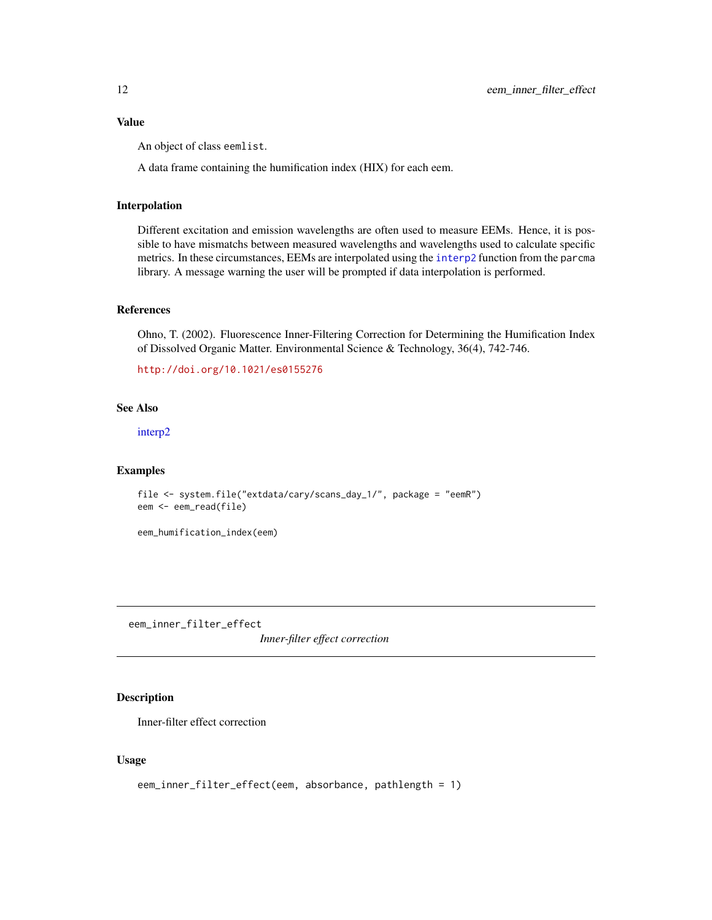## <span id="page-11-0"></span>Value

An object of class eemlist.

A data frame containing the humification index (HIX) for each eem.

# Interpolation

Different excitation and emission wavelengths are often used to measure EEMs. Hence, it is possible to have mismatchs between measured wavelengths and wavelengths used to calculate specific metrics. In these circumstances, EEMs are interpolated using the [interp2](#page-0-0) function from the parcma library. A message warning the user will be prompted if data interpolation is performed.

## References

Ohno, T. (2002). Fluorescence Inner-Filtering Correction for Determining the Humification Index of Dissolved Organic Matter. Environmental Science & Technology, 36(4), 742-746.

<http://doi.org/10.1021/es0155276>

# See Also

[interp2](#page-0-0)

## Examples

```
file <- system.file("extdata/cary/scans_day_1/", package = "eemR")
eem <- eem_read(file)
```
eem\_humification\_index(eem)

eem\_inner\_filter\_effect

*Inner-filter effect correction*

# Description

Inner-filter effect correction

## Usage

```
eem_inner_filter_effect(eem, absorbance, pathlength = 1)
```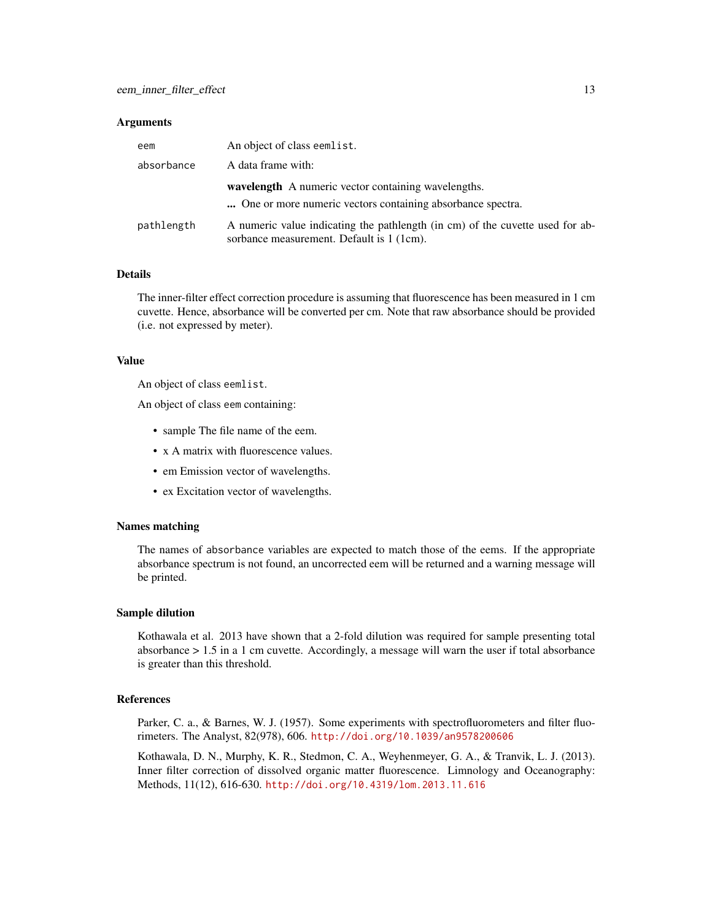#### **Arguments**

| eem        | An object of class eemlist.                                                                                                |
|------------|----------------------------------------------------------------------------------------------------------------------------|
| absorbance | A data frame with:                                                                                                         |
|            | <b>wavelength</b> A numeric vector containing wavelengths.<br>One or more numeric vectors containing absorbance spectra.   |
| pathlength | A numeric value indicating the pathlength (in cm) of the cuvette used for ab-<br>sorbance measurement. Default is 1 (1cm). |

# **Details**

The inner-filter effect correction procedure is assuming that fluorescence has been measured in 1 cm cuvette. Hence, absorbance will be converted per cm. Note that raw absorbance should be provided (i.e. not expressed by meter).

## Value

An object of class eemlist.

An object of class eem containing:

- sample The file name of the eem.
- x A matrix with fluorescence values.
- em Emission vector of wavelengths.
- ex Excitation vector of wavelengths.

#### Names matching

The names of absorbance variables are expected to match those of the eems. If the appropriate absorbance spectrum is not found, an uncorrected eem will be returned and a warning message will be printed.

#### Sample dilution

Kothawala et al. 2013 have shown that a 2-fold dilution was required for sample presenting total absorbance > 1.5 in a 1 cm cuvette. Accordingly, a message will warn the user if total absorbance is greater than this threshold.

## References

Parker, C. a., & Barnes, W. J. (1957). Some experiments with spectrofluorometers and filter fluorimeters. The Analyst, 82(978), 606. <http://doi.org/10.1039/an9578200606>

Kothawala, D. N., Murphy, K. R., Stedmon, C. A., Weyhenmeyer, G. A., & Tranvik, L. J. (2013). Inner filter correction of dissolved organic matter fluorescence. Limnology and Oceanography: Methods, 11(12), 616-630. <http://doi.org/10.4319/lom.2013.11.616>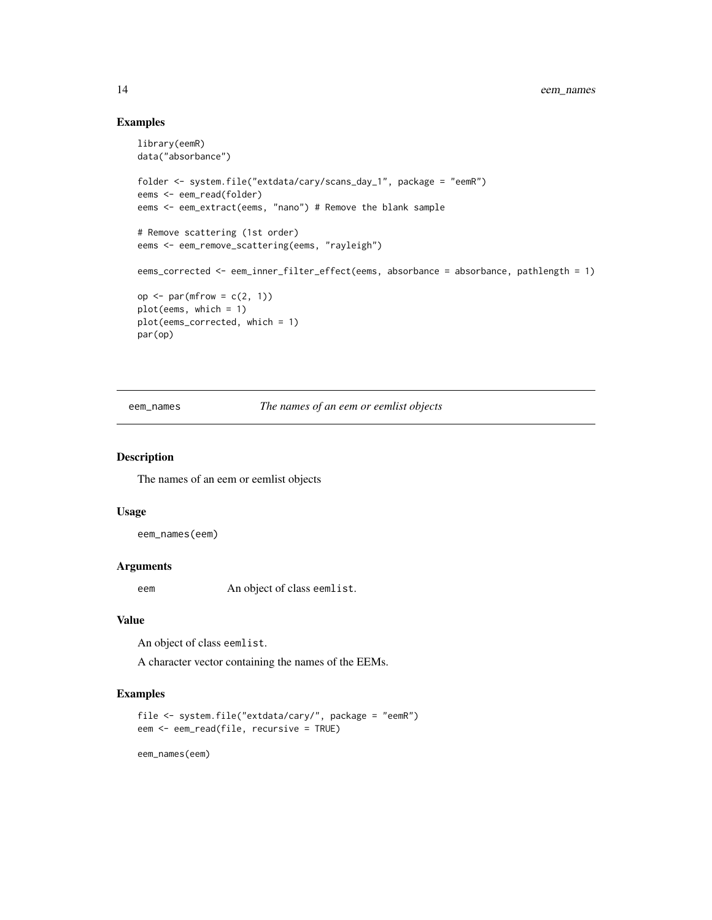# Examples

```
library(eemR)
data("absorbance")
folder <- system.file("extdata/cary/scans_day_1", package = "eemR")
eems <- eem_read(folder)
eems <- eem_extract(eems, "nano") # Remove the blank sample
# Remove scattering (1st order)
eems <- eem_remove_scattering(eems, "rayleigh")
eems_corrected <- eem_inner_filter_effect(eems, absorbance = absorbance, pathlength = 1)
op \leq par(mfrow = c(2, 1))
plot(eems, which = 1)
plot(eems_corrected, which = 1)
par(op)
```
eem\_names *The names of an eem or eemlist objects*

#### Description

The names of an eem or eemlist objects

#### Usage

eem\_names(eem)

## Arguments

eem An object of class eemlist.

# Value

An object of class eemlist.

A character vector containing the names of the EEMs.

# Examples

```
file <- system.file("extdata/cary/", package = "eemR")
eem <- eem_read(file, recursive = TRUE)
```
eem\_names(eem)

<span id="page-13-0"></span>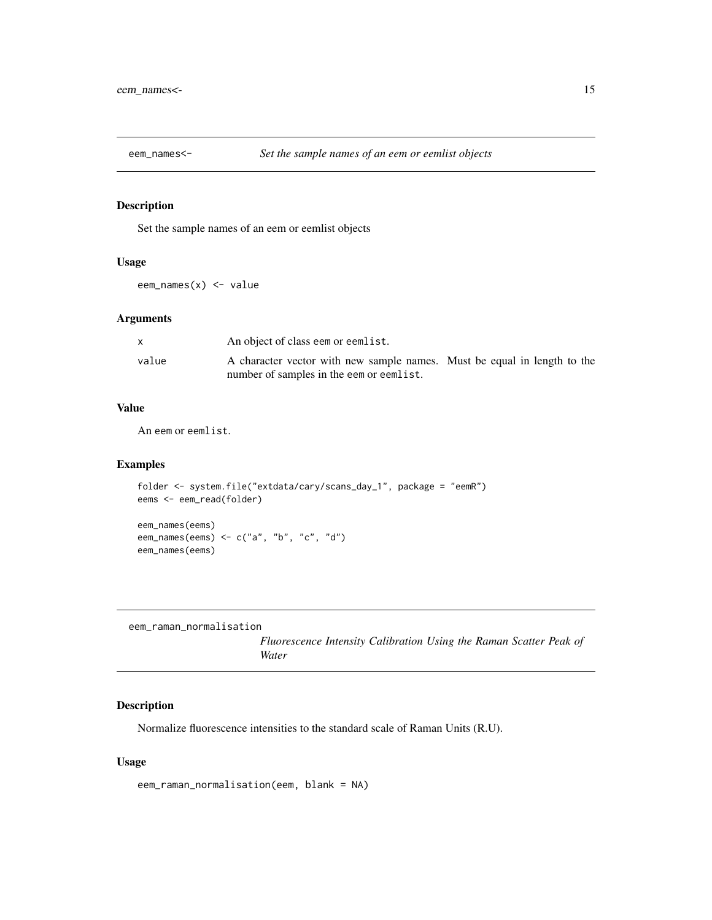<span id="page-14-0"></span>

# Description

Set the sample names of an eem or eemlist objects

# Usage

eem\_names(x) <- value

# Arguments

|       | An object of class eem or eemlist.                                       |  |
|-------|--------------------------------------------------------------------------|--|
| value | A character vector with new sample names. Must be equal in length to the |  |
|       | number of samples in the eem or eemlist.                                 |  |

## Value

An eem or eemlist.

# Examples

```
folder <- system.file("extdata/cary/scans_day_1", package = "eemR")
eems <- eem_read(folder)
eem_names(eems)
eem_names(eems) <- c("a", "b", "c", "d")
eem_names(eems)
```

```
eem_raman_normalisation
```
*Fluorescence Intensity Calibration Using the Raman Scatter Peak of Water*

# Description

Normalize fluorescence intensities to the standard scale of Raman Units (R.U).

# Usage

```
eem_raman_normalisation(eem, blank = NA)
```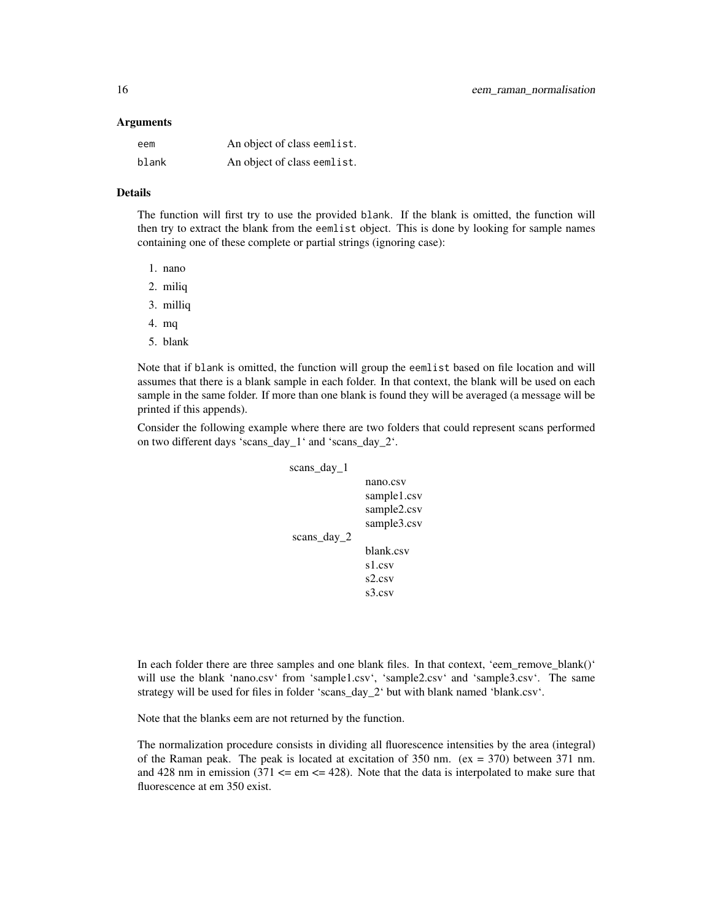#### Arguments

| eem   | An object of class eemlist. |
|-------|-----------------------------|
| blank | An object of class eemlist. |

## Details

The function will first try to use the provided blank. If the blank is omitted, the function will then try to extract the blank from the eemlist object. This is done by looking for sample names containing one of these complete or partial strings (ignoring case):

- 1. nano
- 2. miliq
- 3. milliq
- 4. mq
- 5. blank

Note that if blank is omitted, the function will group the eemlist based on file location and will assumes that there is a blank sample in each folder. In that context, the blank will be used on each sample in the same folder. If more than one blank is found they will be averaged (a message will be printed if this appends).

Consider the following example where there are two folders that could represent scans performed on two different days 'scans\_day\_1' and 'scans\_day\_2'.

| scans_day_1 |             |
|-------------|-------------|
|             | nano.csv    |
|             | sample1.csv |
|             | sample2.csv |
|             | sample3.csv |
| scans_day_2 |             |
|             | blank.csv   |
|             | s1.csv      |
|             | s2.csv      |
|             | s3.csv      |

In each folder there are three samples and one blank files. In that context, 'eem\_remove\_blank()' will use the blank 'nano.csv' from 'sample1.csv', 'sample2.csv' and 'sample3.csv'. The same strategy will be used for files in folder 'scans\_day\_2' but with blank named 'blank.csv'.

Note that the blanks eem are not returned by the function.

The normalization procedure consists in dividing all fluorescence intensities by the area (integral) of the Raman peak. The peak is located at excitation of 350 nm. (ex = 370) between 371 nm. and 428 nm in emission (371  $\le$  em  $\le$  428). Note that the data is interpolated to make sure that fluorescence at em 350 exist.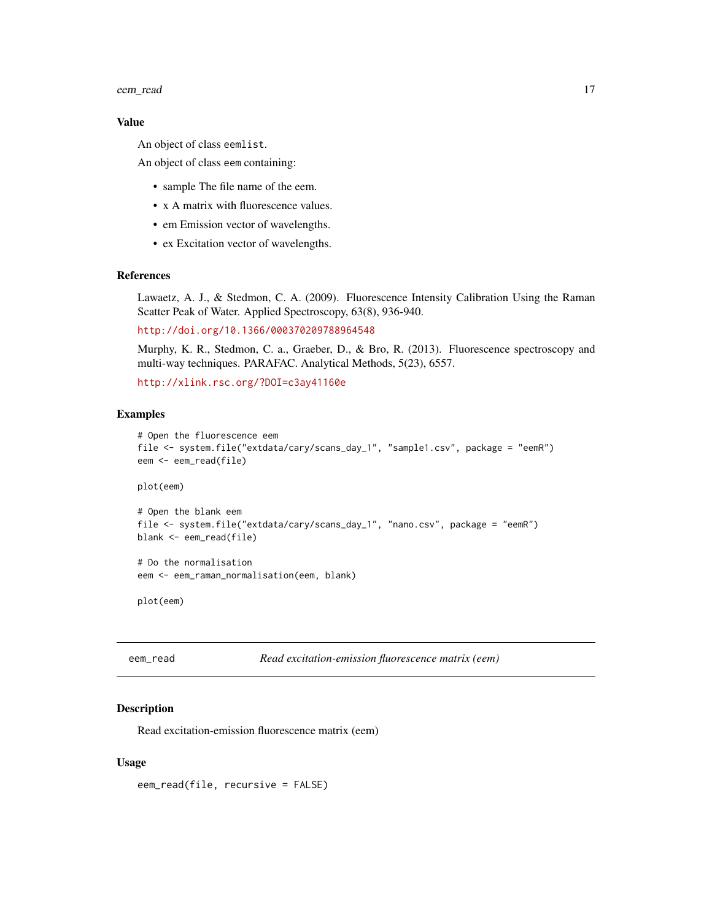#### <span id="page-16-0"></span>eem\_read 17

# Value

An object of class eemlist.

An object of class eem containing:

- sample The file name of the eem.
- x A matrix with fluorescence values.
- em Emission vector of wavelengths.
- ex Excitation vector of wavelengths.

#### References

Lawaetz, A. J., & Stedmon, C. A. (2009). Fluorescence Intensity Calibration Using the Raman Scatter Peak of Water. Applied Spectroscopy, 63(8), 936-940.

<http://doi.org/10.1366/000370209788964548>

Murphy, K. R., Stedmon, C. a., Graeber, D., & Bro, R. (2013). Fluorescence spectroscopy and multi-way techniques. PARAFAC. Analytical Methods, 5(23), 6557.

<http://xlink.rsc.org/?DOI=c3ay41160e>

## Examples

```
# Open the fluorescence eem
file <- system.file("extdata/cary/scans_day_1", "sample1.csv", package = "eemR")
eem <- eem_read(file)
```
plot(eem)

```
# Open the blank eem
file <- system.file("extdata/cary/scans_day_1", "nano.csv", package = "eemR")
blank <- eem_read(file)
```
# Do the normalisation eem <- eem\_raman\_normalisation(eem, blank)

plot(eem)

eem\_read *Read excitation-emission fluorescence matrix (eem)*

## Description

Read excitation-emission fluorescence matrix (eem)

#### Usage

eem\_read(file, recursive = FALSE)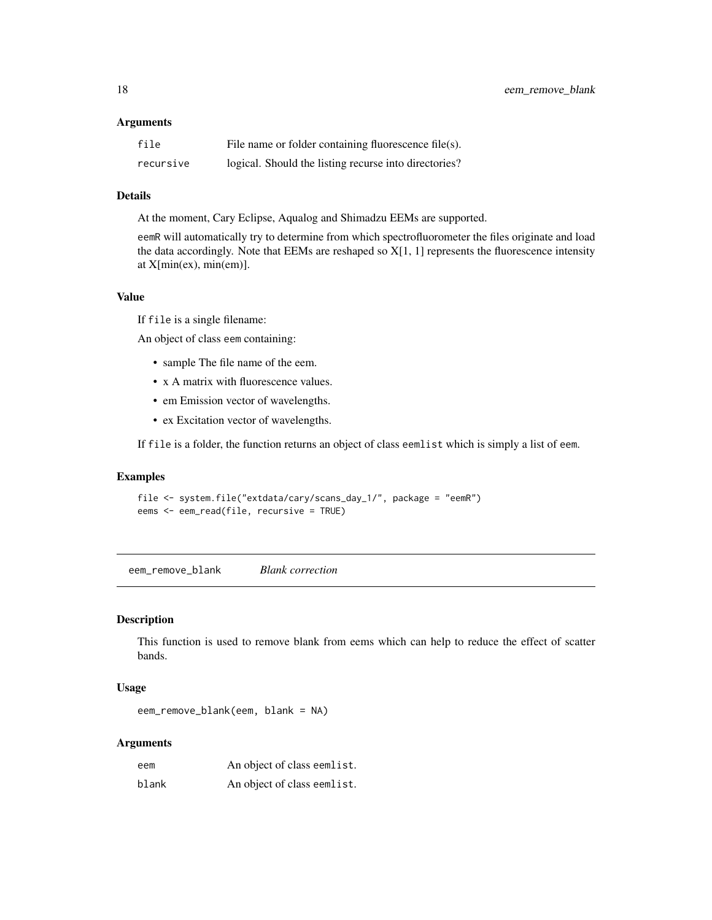## <span id="page-17-0"></span>Arguments

| file      | File name or folder containing fluorescence file $(s)$ . |
|-----------|----------------------------------------------------------|
| recursive | logical. Should the listing recurse into directories?    |

## Details

At the moment, Cary Eclipse, Aqualog and Shimadzu EEMs are supported.

eemR will automatically try to determine from which spectrofluorometer the files originate and load the data accordingly. Note that EEMs are reshaped so  $X[1, 1]$  represents the fluorescence intensity at  $X[\text{min(ex)}, \text{min(em)}]$ .

## Value

If file is a single filename:

An object of class eem containing:

- sample The file name of the eem.
- x A matrix with fluorescence values.
- em Emission vector of wavelengths.
- ex Excitation vector of wavelengths.

If file is a folder, the function returns an object of class eemlist which is simply a list of eem.

# Examples

```
file <- system.file("extdata/cary/scans_day_1/", package = "eemR")
eems <- eem_read(file, recursive = TRUE)
```
eem\_remove\_blank *Blank correction*

# Description

This function is used to remove blank from eems which can help to reduce the effect of scatter bands.

#### Usage

eem\_remove\_blank(eem, blank = NA)

## Arguments

| eem   | An object of class eemlist. |
|-------|-----------------------------|
| blank | An object of class eemlist. |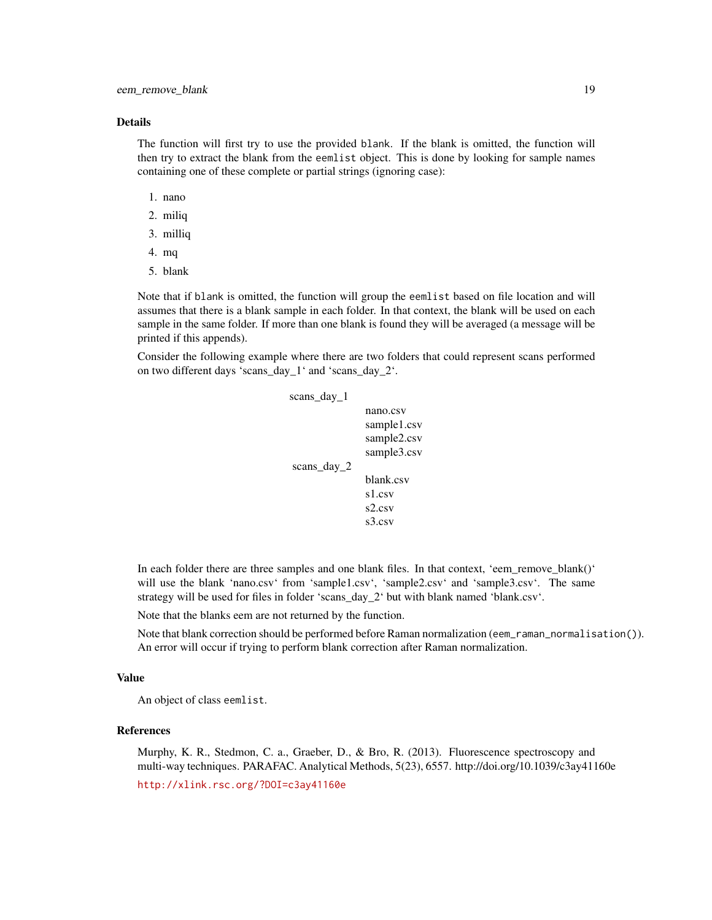#### Details

The function will first try to use the provided blank. If the blank is omitted, the function will then try to extract the blank from the eemlist object. This is done by looking for sample names containing one of these complete or partial strings (ignoring case):

- 1. nano
- 2. miliq
- 3. milliq
- 4. mq
- 5. blank

Note that if blank is omitted, the function will group the eemlist based on file location and will assumes that there is a blank sample in each folder. In that context, the blank will be used on each sample in the same folder. If more than one blank is found they will be averaged (a message will be printed if this appends).

Consider the following example where there are two folders that could represent scans performed on two different days 'scans\_day\_1' and 'scans\_day\_2'.

```
scans_day_1
               nano.csv
               sample1.csv
               sample2.csv
               sample3.csv
scans_day_2
               blank.csv
               s1.csv
               s2.csv
               s3.csv
```
In each folder there are three samples and one blank files. In that context, 'eem\_remove\_blank()' will use the blank 'nano.csv' from 'sample1.csv', 'sample2.csv' and 'sample3.csv'. The same strategy will be used for files in folder 'scans\_day\_2' but with blank named 'blank.csv'.

Note that the blanks eem are not returned by the function.

Note that blank correction should be performed before Raman normalization (eem\_raman\_normalisation()). An error will occur if trying to perform blank correction after Raman normalization.

#### Value

An object of class eemlist.

## References

Murphy, K. R., Stedmon, C. a., Graeber, D., & Bro, R. (2013). Fluorescence spectroscopy and multi-way techniques. PARAFAC. Analytical Methods, 5(23), 6557. http://doi.org/10.1039/c3ay41160e

<http://xlink.rsc.org/?DOI=c3ay41160e>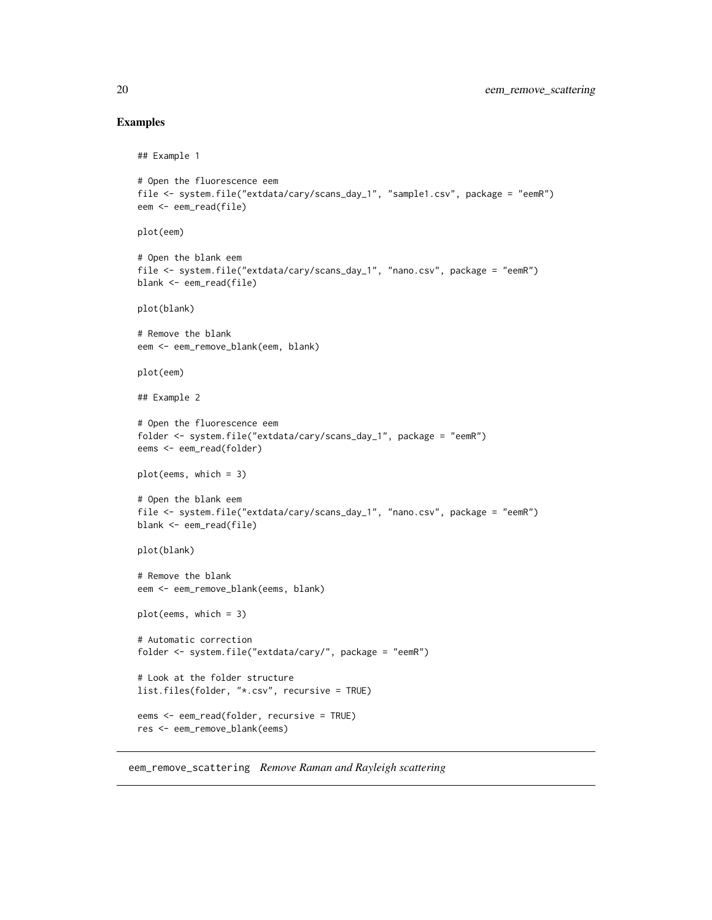## Examples

```
## Example 1
# Open the fluorescence eem
file <- system.file("extdata/cary/scans_day_1", "sample1.csv", package = "eemR")
eem <- eem_read(file)
plot(eem)
# Open the blank eem
file <- system.file("extdata/cary/scans_day_1", "nano.csv", package = "eemR")
blank <- eem_read(file)
plot(blank)
# Remove the blank
eem <- eem_remove_blank(eem, blank)
plot(eem)
## Example 2
# Open the fluorescence eem
folder <- system.file("extdata/cary/scans_day_1", package = "eemR")
eems <- eem_read(folder)
plot(eems, which = 3)
# Open the blank eem
file <- system.file("extdata/cary/scans_day_1", "nano.csv", package = "eemR")
blank <- eem_read(file)
plot(blank)
# Remove the blank
eem <- eem_remove_blank(eems, blank)
plot(eems, which = 3)
# Automatic correction
folder <- system.file("extdata/cary/", package = "eemR")
# Look at the folder structure
list.files(folder, "*.csv", recursive = TRUE)
eems <- eem_read(folder, recursive = TRUE)
res <- eem_remove_blank(eems)
```
eem\_remove\_scattering *Remove Raman and Rayleigh scattering*

<span id="page-19-0"></span>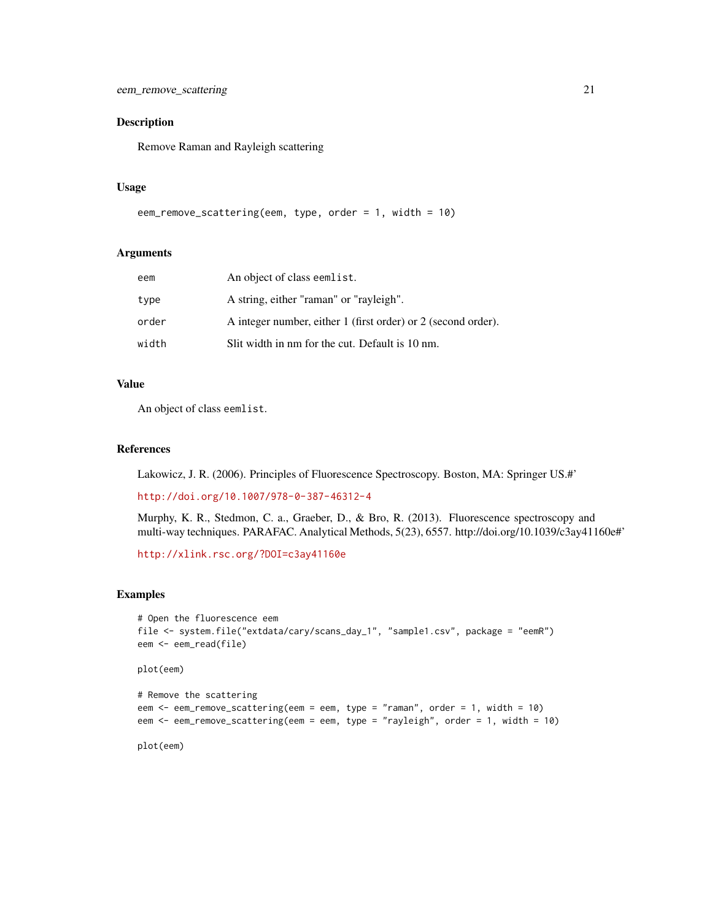# Description

Remove Raman and Rayleigh scattering

#### Usage

```
eem_remove_scattering(eem, type, order = 1, width = 10)
```
#### Arguments

| eem   | An object of class eemlist.                                   |
|-------|---------------------------------------------------------------|
| type  | A string, either "raman" or "rayleigh".                       |
| order | A integer number, either 1 (first order) or 2 (second order). |
| width | Slit width in nm for the cut. Default is 10 nm.               |

# Value

An object of class eemlist.

## References

Lakowicz, J. R. (2006). Principles of Fluorescence Spectroscopy. Boston, MA: Springer US.#'

<http://doi.org/10.1007/978-0-387-46312-4>

Murphy, K. R., Stedmon, C. a., Graeber, D., & Bro, R. (2013). Fluorescence spectroscopy and multi-way techniques. PARAFAC. Analytical Methods, 5(23), 6557. http://doi.org/10.1039/c3ay41160e#'

<http://xlink.rsc.org/?DOI=c3ay41160e>

## Examples

```
# Open the fluorescence eem
file <- system.file("extdata/cary/scans_day_1", "sample1.csv", package = "eemR")
eem <- eem_read(file)
plot(eem)
# Remove the scattering
eem <- eem_remove_scattering(eem = eem, type = "raman", order = 1, width = 10)
eem <- eem_remove_scattering(eem = eem, type = "rayleigh", order = 1, width = 10)
plot(eem)
```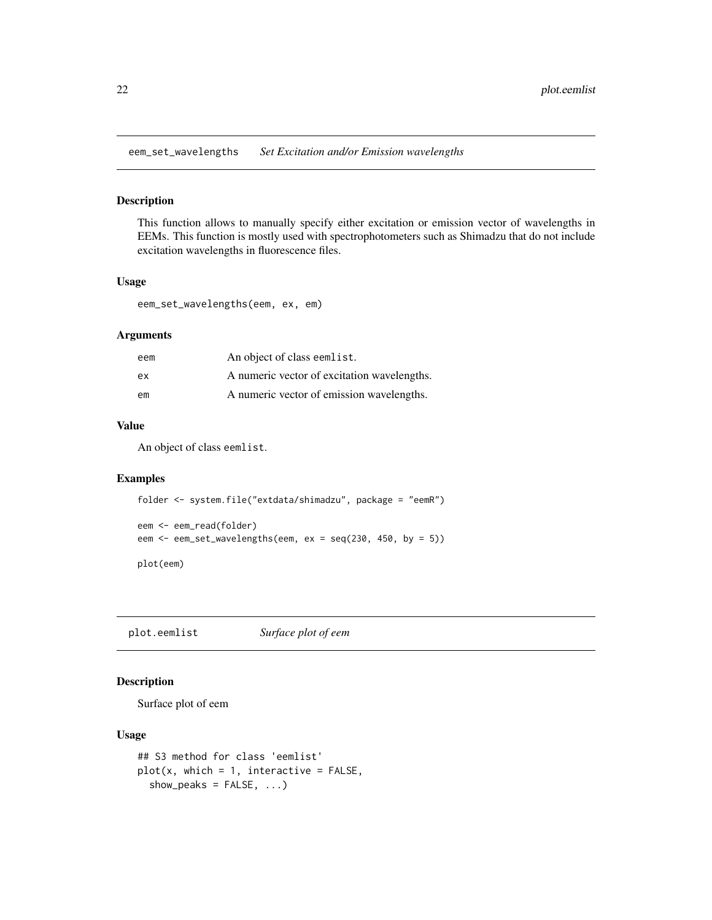<span id="page-21-0"></span>eem\_set\_wavelengths *Set Excitation and/or Emission wavelengths*

## Description

This function allows to manually specify either excitation or emission vector of wavelengths in EEMs. This function is mostly used with spectrophotometers such as Shimadzu that do not include excitation wavelengths in fluorescence files.

# Usage

eem\_set\_wavelengths(eem, ex, em)

# Arguments

| eem | An object of class eemlist.                 |
|-----|---------------------------------------------|
| ex  | A numeric vector of excitation wavelengths. |
| em  | A numeric vector of emission wavelengths.   |

## Value

An object of class eemlist.

# Examples

```
folder <- system.file("extdata/shimadzu", package = "eemR")
eem <- eem_read(folder)
eem <- eem_set_wavelengths(eem, ex = seq(230, 450, by = 5))
plot(eem)
```
plot.eemlist *Surface plot of eem*

# Description

Surface plot of eem

## Usage

```
## S3 method for class 'eemlist'
plot(x, which = 1, interactive = FALSE,show_peaks = FALSE, ...)
```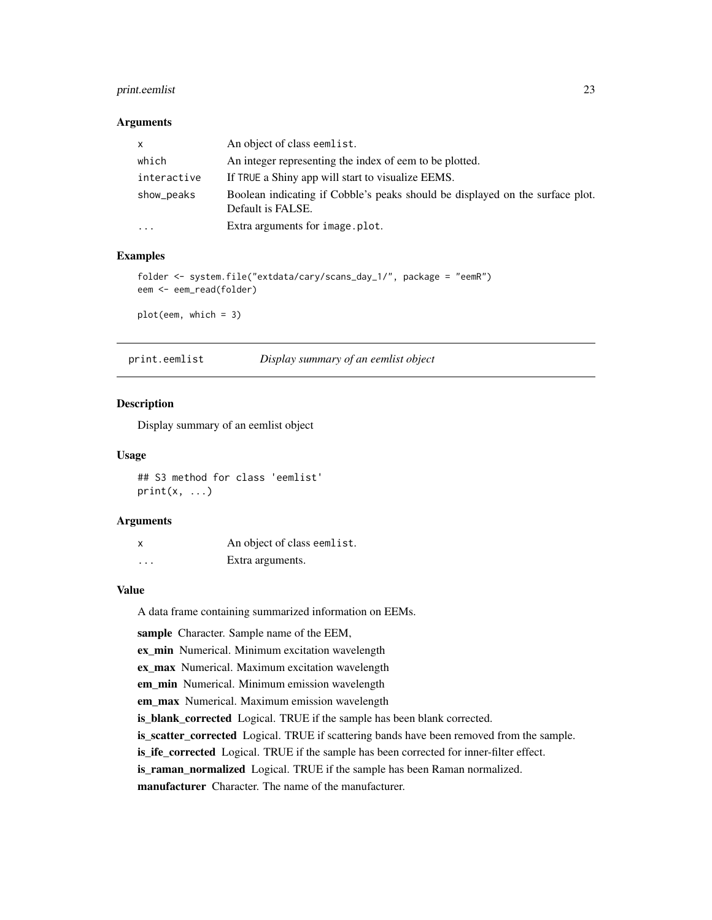# <span id="page-22-0"></span>print.eemlist 23

#### Arguments

| $\mathsf{x}$ | An object of class eemlist.                                                                        |
|--------------|----------------------------------------------------------------------------------------------------|
| which        | An integer representing the index of eem to be plotted.                                            |
| interactive  | If TRUE a Shiny app will start to visualize EEMS.                                                  |
| show_peaks   | Boolean indicating if Cobble's peaks should be displayed on the surface plot.<br>Default is FALSE. |
| $\cdots$     | Extra arguments for image.plot.                                                                    |

# Examples

```
folder <- system.file("extdata/cary/scans_day_1/", package = "eemR")
eem <- eem_read(folder)
```
plot(eem, which = 3)

print.eemlist *Display summary of an eemlist object*

## Description

Display summary of an eemlist object

## Usage

## S3 method for class 'eemlist'  $print(x, \ldots)$ 

## Arguments

|   | An object of class eemlist. |
|---|-----------------------------|
| . | Extra arguments.            |

## Value

A data frame containing summarized information on EEMs.

sample Character. Sample name of the EEM,

ex\_min Numerical. Minimum excitation wavelength

ex\_max Numerical. Maximum excitation wavelength

em\_min Numerical. Minimum emission wavelength

em\_max Numerical. Maximum emission wavelength

is\_blank\_corrected Logical. TRUE if the sample has been blank corrected.

is\_scatter\_corrected Logical. TRUE if scattering bands have been removed from the sample.

is\_ife\_corrected Logical. TRUE if the sample has been corrected for inner-filter effect.

is raman\_normalized Logical. TRUE if the sample has been Raman normalized.

manufacturer Character. The name of the manufacturer.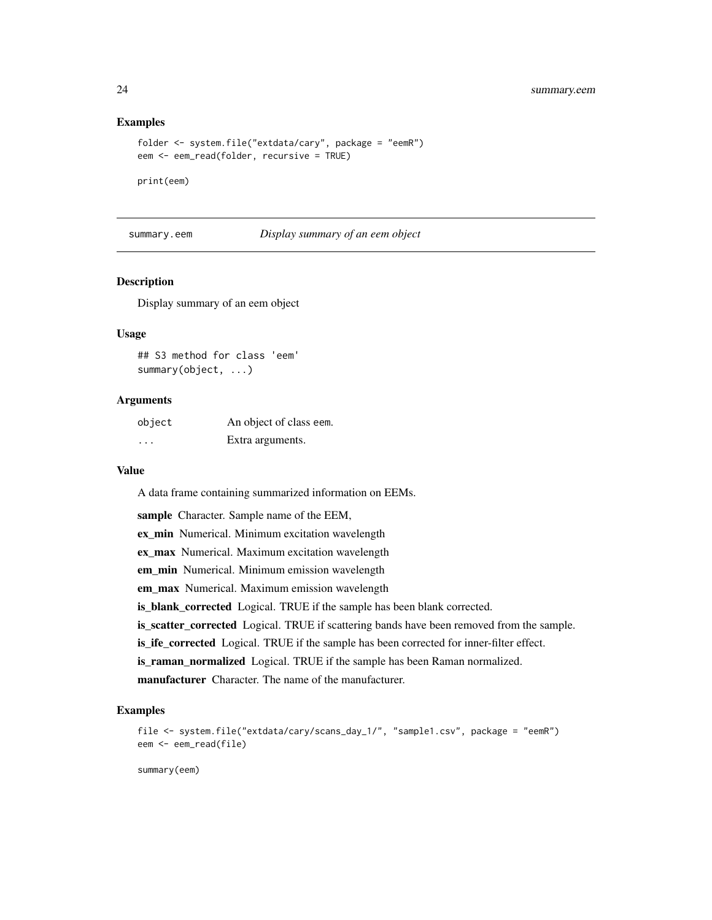## Examples

```
folder <- system.file("extdata/cary", package = "eemR")
eem <- eem_read(folder, recursive = TRUE)
```
print(eem)

summary.eem *Display summary of an eem object*

# **Description**

Display summary of an eem object

## Usage

```
## S3 method for class 'eem'
summary(object, ...)
```
## Arguments

| object   | An object of class eem. |
|----------|-------------------------|
| $\cdots$ | Extra arguments.        |

#### Value

A data frame containing summarized information on EEMs.

sample Character. Sample name of the EEM,

ex\_min Numerical. Minimum excitation wavelength

ex\_max Numerical. Maximum excitation wavelength

em\_min Numerical. Minimum emission wavelength

em\_max Numerical. Maximum emission wavelength

is\_blank\_corrected Logical. TRUE if the sample has been blank corrected.

is\_scatter\_corrected Logical. TRUE if scattering bands have been removed from the sample.

is\_ife\_corrected Logical. TRUE if the sample has been corrected for inner-filter effect.

is\_raman\_normalized Logical. TRUE if the sample has been Raman normalized.

manufacturer Character. The name of the manufacturer.

## Examples

```
file <- system.file("extdata/cary/scans_day_1/", "sample1.csv", package = "eemR")
eem <- eem_read(file)
```
summary(eem)

<span id="page-23-0"></span>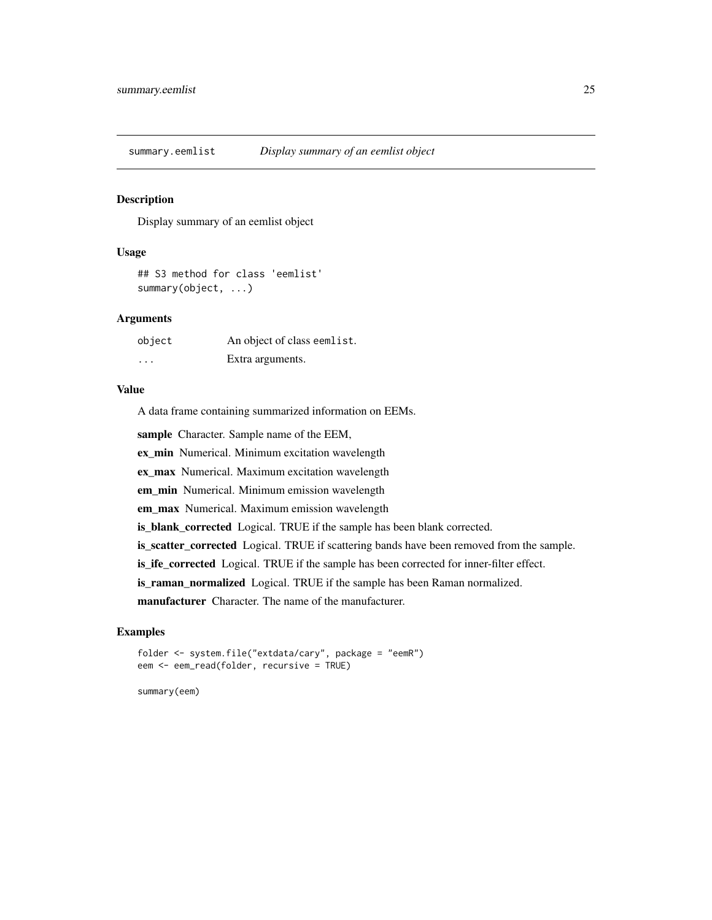<span id="page-24-0"></span>summary.eemlist *Display summary of an eemlist object*

# Description

Display summary of an eemlist object

#### Usage

```
## S3 method for class 'eemlist'
summary(object, ...)
```
# Arguments

| object  | An object of class eemlist. |
|---------|-----------------------------|
| $\cdot$ | Extra arguments.            |

# Value

A data frame containing summarized information on EEMs.

sample Character. Sample name of the EEM,

ex\_min Numerical. Minimum excitation wavelength

ex\_max Numerical. Maximum excitation wavelength

em\_min Numerical. Minimum emission wavelength

em\_max Numerical. Maximum emission wavelength

is\_blank\_corrected Logical. TRUE if the sample has been blank corrected.

is\_scatter\_corrected Logical. TRUE if scattering bands have been removed from the sample.

is\_ife\_corrected Logical. TRUE if the sample has been corrected for inner-filter effect.

is\_raman\_normalized Logical. TRUE if the sample has been Raman normalized.

manufacturer Character. The name of the manufacturer.

# Examples

```
folder <- system.file("extdata/cary", package = "eemR")
eem <- eem_read(folder, recursive = TRUE)
```
summary(eem)